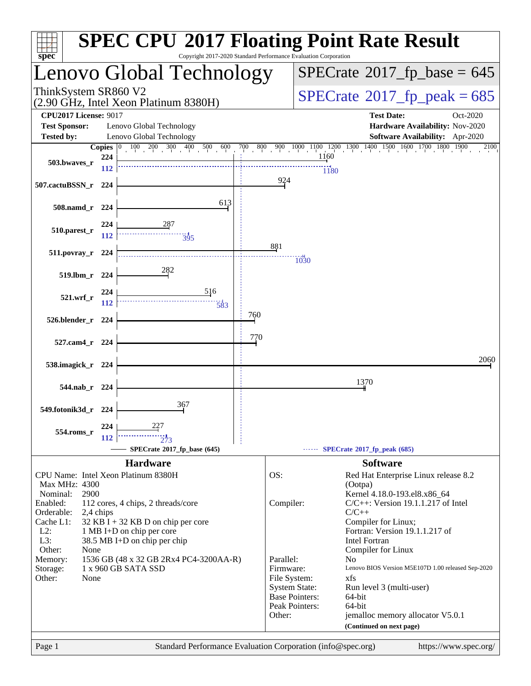| $spec^*$<br>Copyright 2017-2020 Standard Performance Evaluation Corporation                              |              | <b>SPEC CPU®2017 Floating Point Rate Result</b>                               |  |  |  |  |  |  |
|----------------------------------------------------------------------------------------------------------|--------------|-------------------------------------------------------------------------------|--|--|--|--|--|--|
| enovo Global Technology.                                                                                 |              | $SPECrate$ <sup>®</sup> 2017_fp_base = 645                                    |  |  |  |  |  |  |
| ThinkSystem SR860 V2<br>(2.90 GHz, Intel Xeon Platinum 8380H)                                            |              | $SPECTate$ <sup>®</sup> 2017_fp_peak = 685                                    |  |  |  |  |  |  |
| <b>CPU2017 License: 9017</b>                                                                             |              | <b>Test Date:</b><br>Oct-2020                                                 |  |  |  |  |  |  |
| <b>Test Sponsor:</b><br>Lenovo Global Technology                                                         |              | Hardware Availability: Nov-2020                                               |  |  |  |  |  |  |
| Lenovo Global Technology<br><b>Tested by:</b>                                                            |              | Software Availability: Apr-2020                                               |  |  |  |  |  |  |
| <b>Copies</b> $\begin{bmatrix} 0 & 100 & 200 & 300 & 400 & 500 \end{bmatrix}$ 600<br>224<br>503.bwaves_r |              | 700 800 900 1000 1100 1200 1300 1400 1500 1600 1700 1800 1900<br>2100<br>1160 |  |  |  |  |  |  |
| 112                                                                                                      |              | 1180                                                                          |  |  |  |  |  |  |
| 507.cactuBSSN_r<br>224                                                                                   | 924          |                                                                               |  |  |  |  |  |  |
| 613<br>$508$ .namd_r<br>224                                                                              |              |                                                                               |  |  |  |  |  |  |
| 224<br>510.parest_r                                                                                      |              |                                                                               |  |  |  |  |  |  |
| 112<br>$\frac{11}{395}$                                                                                  |              |                                                                               |  |  |  |  |  |  |
| $511.povray_r$<br>224                                                                                    | 881          | 1030                                                                          |  |  |  |  |  |  |
| 282<br>519.1bm_r<br>224                                                                                  |              |                                                                               |  |  |  |  |  |  |
| 516<br>224<br>521.wrf                                                                                    |              |                                                                               |  |  |  |  |  |  |
| 112<br>583                                                                                               |              |                                                                               |  |  |  |  |  |  |
| 526.blender_r<br>224                                                                                     | 760          |                                                                               |  |  |  |  |  |  |
| 527.cam4_r<br>224                                                                                        | 770          |                                                                               |  |  |  |  |  |  |
|                                                                                                          |              | 2060                                                                          |  |  |  |  |  |  |
| 538.imagick_r 224                                                                                        |              |                                                                               |  |  |  |  |  |  |
| 544.nab r 224                                                                                            |              | 1370                                                                          |  |  |  |  |  |  |
| 367<br>549.fotonik3d_r 224                                                                               |              |                                                                               |  |  |  |  |  |  |
| 227<br>224                                                                                               |              |                                                                               |  |  |  |  |  |  |
| 554.roms_r<br>112                                                                                        |              |                                                                               |  |  |  |  |  |  |
| SPECrate®2017_fp_base (645)                                                                              |              | SPECrate*2017_fp_peak (685)                                                   |  |  |  |  |  |  |
| <b>Hardware</b>                                                                                          |              | <b>Software</b>                                                               |  |  |  |  |  |  |
| CPU Name: Intel Xeon Platinum 8380H<br>Max MHz: 4300                                                     | OS:          | Red Hat Enterprise Linux release 8.2                                          |  |  |  |  |  |  |
| Nominal:<br>2900                                                                                         |              | (Ootpa)<br>Kernel 4.18.0-193.el8.x86_64                                       |  |  |  |  |  |  |
| Enabled:<br>112 cores, 4 chips, 2 threads/core                                                           | Compiler:    | $C/C++$ : Version 19.1.1.217 of Intel                                         |  |  |  |  |  |  |
| Orderable:<br>2,4 chips<br>Cache L1:<br>$32$ KB I + 32 KB D on chip per core                             |              | $C/C++$<br>Compiler for Linux;                                                |  |  |  |  |  |  |
| $L2$ :<br>1 MB I+D on chip per core                                                                      |              | Fortran: Version 19.1.1.217 of                                                |  |  |  |  |  |  |
| L3:<br>38.5 MB I+D on chip per chip<br>Other:<br>None                                                    |              | <b>Intel Fortran</b><br>Compiler for Linux                                    |  |  |  |  |  |  |
| Memory:<br>1536 GB (48 x 32 GB 2Rx4 PC4-3200AA-R)                                                        | Parallel:    | N <sub>0</sub>                                                                |  |  |  |  |  |  |
| 1 x 960 GB SATA SSD<br>Storage:                                                                          | Firmware:    | Lenovo BIOS Version M5E107D 1.00 released Sep-2020                            |  |  |  |  |  |  |
| Other:<br>None                                                                                           | File System: | xfs<br><b>System State:</b><br>Run level 3 (multi-user)                       |  |  |  |  |  |  |
|                                                                                                          |              | <b>Base Pointers:</b><br>64-bit                                               |  |  |  |  |  |  |
|                                                                                                          | Other:       | Peak Pointers:<br>64-bit<br>jemalloc memory allocator V5.0.1                  |  |  |  |  |  |  |
|                                                                                                          |              | (Continued on next page)                                                      |  |  |  |  |  |  |
| Standard Performance Evaluation Corporation (info@spec.org)<br>Page 1                                    |              | https://www.spec.org/                                                         |  |  |  |  |  |  |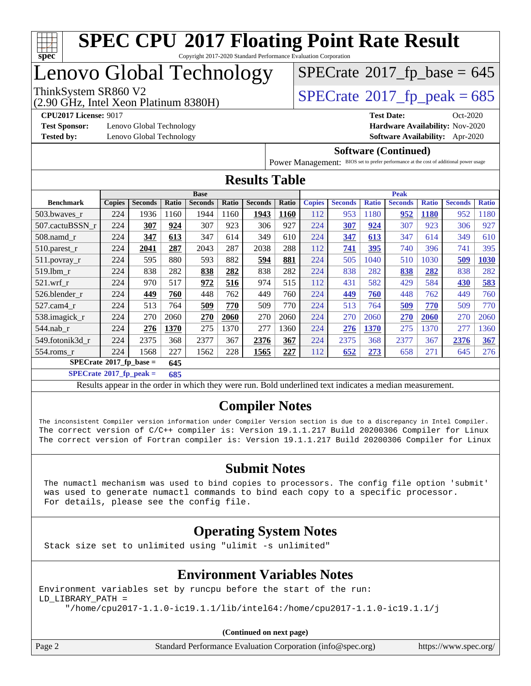

## Lenovo Global Technology

(2.90 GHz, Intel Xeon Platinum 8380H)

ThinkSystem SR860 V2<br>(2.90 GHz, Intel Xeon Platinum 8380H)  $\text{SPECrate}$  $\text{SPECrate}$  $\text{SPECrate}$ <sup>®</sup>[2017\\_fp\\_peak = 6](http://www.spec.org/auto/cpu2017/Docs/result-fields.html#SPECrate2017fppeak)85

 $SPECTate$ <sup>®</sup>[2017\\_fp\\_base =](http://www.spec.org/auto/cpu2017/Docs/result-fields.html#SPECrate2017fpbase) 645

**[Test Sponsor:](http://www.spec.org/auto/cpu2017/Docs/result-fields.html#TestSponsor)** Lenovo Global Technology **[Hardware Availability:](http://www.spec.org/auto/cpu2017/Docs/result-fields.html#HardwareAvailability)** Nov-2020

**[CPU2017 License:](http://www.spec.org/auto/cpu2017/Docs/result-fields.html#CPU2017License)** 9017 **[Test Date:](http://www.spec.org/auto/cpu2017/Docs/result-fields.html#TestDate)** Oct-2020 **[Tested by:](http://www.spec.org/auto/cpu2017/Docs/result-fields.html#Testedby)** Lenovo Global Technology **[Software Availability:](http://www.spec.org/auto/cpu2017/Docs/result-fields.html#SoftwareAvailability)** Apr-2020

#### **[Software \(Continued\)](http://www.spec.org/auto/cpu2017/Docs/result-fields.html#Software)**

[Power Management:](http://www.spec.org/auto/cpu2017/Docs/result-fields.html#PowerManagement) BIOS set to prefer performance at the cost of additional power usage

| <b>Results Table</b>                                                                                                                                                                                                                                                                                                                                   |               |                |       |                                                                                                          |       |                |       |               |                |              |                |              |                |              |
|--------------------------------------------------------------------------------------------------------------------------------------------------------------------------------------------------------------------------------------------------------------------------------------------------------------------------------------------------------|---------------|----------------|-------|----------------------------------------------------------------------------------------------------------|-------|----------------|-------|---------------|----------------|--------------|----------------|--------------|----------------|--------------|
| <b>Base</b>                                                                                                                                                                                                                                                                                                                                            |               |                |       |                                                                                                          |       |                |       | <b>Peak</b>   |                |              |                |              |                |              |
| <b>Benchmark</b>                                                                                                                                                                                                                                                                                                                                       | <b>Copies</b> | <b>Seconds</b> | Ratio | <b>Seconds</b>                                                                                           | Ratio | <b>Seconds</b> | Ratio | <b>Copies</b> | <b>Seconds</b> | <b>Ratio</b> | <b>Seconds</b> | <b>Ratio</b> | <b>Seconds</b> | <b>Ratio</b> |
| 503.bwaves r                                                                                                                                                                                                                                                                                                                                           | 224           | 1936           | 1160  | 1944                                                                                                     | 1160  | 1943           | 1160  | 112           | 953            | 1180         | 952            | 1180         | 952            | 1180         |
| 507.cactuBSSN r                                                                                                                                                                                                                                                                                                                                        | 224           | 307            | 924   | 307                                                                                                      | 923   | 306            | 927   | 224           | 307            | 924          | 307            | 923          | 306            | 927          |
| $508$ .namd $r$                                                                                                                                                                                                                                                                                                                                        | 224           | 347            | 613   | 347                                                                                                      | 614   | 349            | 610   | 224           | 347            | 613          | 347            | 614          | 349            | 610          |
| 510.parest_r                                                                                                                                                                                                                                                                                                                                           | 224           | 2041           | 287   | 2043                                                                                                     | 287   | 2038           | 288   | 112           | 741            | 395          | 740            | 396          | 741            | 395          |
| $511.$ povray_r                                                                                                                                                                                                                                                                                                                                        | 224           | 595            | 880   | 593                                                                                                      | 882   | 594            | 881   | 224           | 505            | 1040         | 510            | 1030         | 509            | 1030         |
| 519.lbm r                                                                                                                                                                                                                                                                                                                                              | 224           | 838            | 282   | 838                                                                                                      | 282   | 838            | 282   | 224           | 838            | 282          | 838            | 282          | 838            | 282          |
| $521.wrf_r$                                                                                                                                                                                                                                                                                                                                            | 224           | 970            | 517   | 972                                                                                                      | 516   | 974            | 515   | 112           | 431            | 582          | 429            | 584          | 430            | 583          |
| 526.blender_r                                                                                                                                                                                                                                                                                                                                          | 224           | 449            | 760   | 448                                                                                                      | 762   | 449            | 760   | 224           | 449            | 760          | 448            | 762          | 449            | 760          |
| 527.cam4 r                                                                                                                                                                                                                                                                                                                                             | 224           | 513            | 764   | 509                                                                                                      | 770   | 509            | 770   | 224           | 513            | 764          | 509            | 770          | 509            | 770          |
| 538.imagick_r                                                                                                                                                                                                                                                                                                                                          | 224           | 270            | 2060  | <b>270</b>                                                                                               | 2060  | 270            | 2060  | 224           | 270            | 2060         | <b>270</b>     | 2060         | 270            | 2060         |
| 544.nab r                                                                                                                                                                                                                                                                                                                                              | 224           | 276            | 1370  | 275                                                                                                      | 1370  | 277            | 1360  | 224           | <u>276</u>     | 1370         | 275            | 1370         | 277            | 1360         |
| 549.fotonik3d_r                                                                                                                                                                                                                                                                                                                                        | 224           | 2375           | 368   | 2377                                                                                                     | 367   | 2376           | 367   | 224           | 2375           | 368          | 2377           | 367          | 2376           | 367          |
| 554.roms_r                                                                                                                                                                                                                                                                                                                                             | 224           | 1568           | 227   | 1562                                                                                                     | 228   | 1565           | 227   | 112           | 652            | 273          | 658            | 271          | 645            | 276          |
| $SPECrate^{\circ}2017$ _fp_base =<br>645                                                                                                                                                                                                                                                                                                               |               |                |       |                                                                                                          |       |                |       |               |                |              |                |              |                |              |
| $SPECrate^{\circ}2017$ fp peak =<br>685                                                                                                                                                                                                                                                                                                                |               |                |       |                                                                                                          |       |                |       |               |                |              |                |              |                |              |
|                                                                                                                                                                                                                                                                                                                                                        |               |                |       | Results appear in the order in which they were run. Bold underlined text indicates a median measurement. |       |                |       |               |                |              |                |              |                |              |
| <b>Compiler Notes</b><br>The inconsistent Compiler version information under Compiler Version section is due to a discrepancy in Intel Compiler.<br>The correct version of C/C++ compiler is: Version 19.1.1.217 Build 20200306 Compiler for Linux<br>The correct version of Fortran compiler is: Version 19.1.1.217 Build 20200306 Compiler for Linux |               |                |       |                                                                                                          |       |                |       |               |                |              |                |              |                |              |
| <b>Submit Notes</b><br>The config file option Isubmit!<br>The numeral mechanism was used to bind conjes to processors                                                                                                                                                                                                                                  |               |                |       |                                                                                                          |       |                |       |               |                |              |                |              |                |              |

l mechanism was used to bind copies to processors. The config was used to generate numactl commands to bind each copy to a specific processor. For details, please see the config file.

#### **[Operating System Notes](http://www.spec.org/auto/cpu2017/Docs/result-fields.html#OperatingSystemNotes)**

Stack size set to unlimited using "ulimit -s unlimited"

#### **[Environment Variables Notes](http://www.spec.org/auto/cpu2017/Docs/result-fields.html#EnvironmentVariablesNotes)**

Environment variables set by runcpu before the start of the run: LD\_LIBRARY\_PATH =

"/home/cpu2017-1.1.0-ic19.1.1/lib/intel64:/home/cpu2017-1.1.0-ic19.1.1/j

**(Continued on next page)**

Page 2 Standard Performance Evaluation Corporation [\(info@spec.org\)](mailto:info@spec.org) <https://www.spec.org/>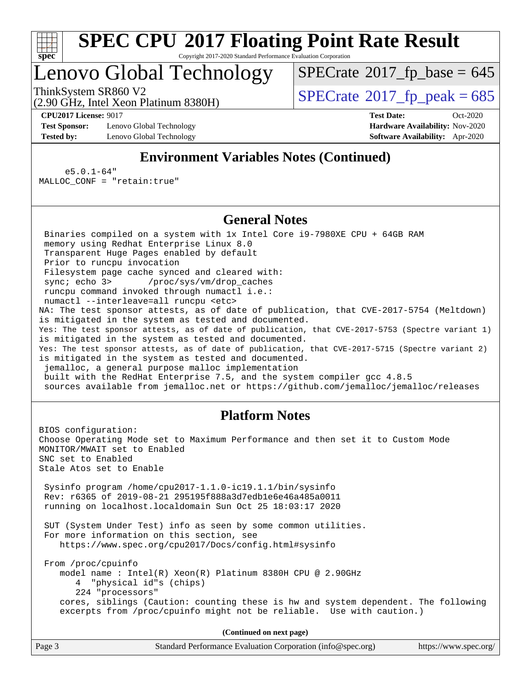

Copyright 2017-2020 Standard Performance Evaluation Corporation

## Lenovo Global Technology

ThinkSystem SR860 V2<br>(2.90 GHz, Intel Xeon Platinum 8380H)  $SPECrate@2017_fp\_peak = 685$  $SPECrate@2017_fp\_peak = 685$  $SPECTate$ <sup>®</sup>[2017\\_fp\\_base =](http://www.spec.org/auto/cpu2017/Docs/result-fields.html#SPECrate2017fpbase) 645

(2.90 GHz, Intel Xeon Platinum 8380H)

**[Test Sponsor:](http://www.spec.org/auto/cpu2017/Docs/result-fields.html#TestSponsor)** Lenovo Global Technology **[Hardware Availability:](http://www.spec.org/auto/cpu2017/Docs/result-fields.html#HardwareAvailability)** Nov-2020 **[Tested by:](http://www.spec.org/auto/cpu2017/Docs/result-fields.html#Testedby)** Lenovo Global Technology **[Software Availability:](http://www.spec.org/auto/cpu2017/Docs/result-fields.html#SoftwareAvailability)** Apr-2020

**[CPU2017 License:](http://www.spec.org/auto/cpu2017/Docs/result-fields.html#CPU2017License)** 9017 **[Test Date:](http://www.spec.org/auto/cpu2017/Docs/result-fields.html#TestDate)** Oct-2020

### **[Environment Variables Notes \(Continued\)](http://www.spec.org/auto/cpu2017/Docs/result-fields.html#EnvironmentVariablesNotes)**

 e5.0.1-64" MALLOC\_CONF = "retain:true"

#### **[General Notes](http://www.spec.org/auto/cpu2017/Docs/result-fields.html#GeneralNotes)**

 Binaries compiled on a system with 1x Intel Core i9-7980XE CPU + 64GB RAM memory using Redhat Enterprise Linux 8.0 Transparent Huge Pages enabled by default Prior to runcpu invocation Filesystem page cache synced and cleared with: sync; echo 3> /proc/sys/vm/drop\_caches runcpu command invoked through numactl i.e.: numactl --interleave=all runcpu <etc> NA: The test sponsor attests, as of date of publication, that CVE-2017-5754 (Meltdown) is mitigated in the system as tested and documented. Yes: The test sponsor attests, as of date of publication, that CVE-2017-5753 (Spectre variant 1) is mitigated in the system as tested and documented. Yes: The test sponsor attests, as of date of publication, that CVE-2017-5715 (Spectre variant 2) is mitigated in the system as tested and documented. jemalloc, a general purpose malloc implementation built with the RedHat Enterprise 7.5, and the system compiler gcc 4.8.5 sources available from jemalloc.net or<https://github.com/jemalloc/jemalloc/releases>

#### **[Platform Notes](http://www.spec.org/auto/cpu2017/Docs/result-fields.html#PlatformNotes)**

BIOS configuration: Choose Operating Mode set to Maximum Performance and then set it to Custom Mode MONITOR/MWAIT set to Enabled SNC set to Enabled Stale Atos set to Enable Sysinfo program /home/cpu2017-1.1.0-ic19.1.1/bin/sysinfo Rev: r6365 of 2019-08-21 295195f888a3d7edb1e6e46a485a0011 running on localhost.localdomain Sun Oct 25 18:03:17 2020 SUT (System Under Test) info as seen by some common utilities. For more information on this section, see <https://www.spec.org/cpu2017/Docs/config.html#sysinfo> From /proc/cpuinfo model name : Intel(R) Xeon(R) Platinum 8380H CPU @ 2.90GHz 4 "physical id"s (chips) 224 "processors" cores, siblings (Caution: counting these is hw and system dependent. The following excerpts from /proc/cpuinfo might not be reliable. Use with caution.) **(Continued on next page)**

Page 3 Standard Performance Evaluation Corporation [\(info@spec.org\)](mailto:info@spec.org) <https://www.spec.org/>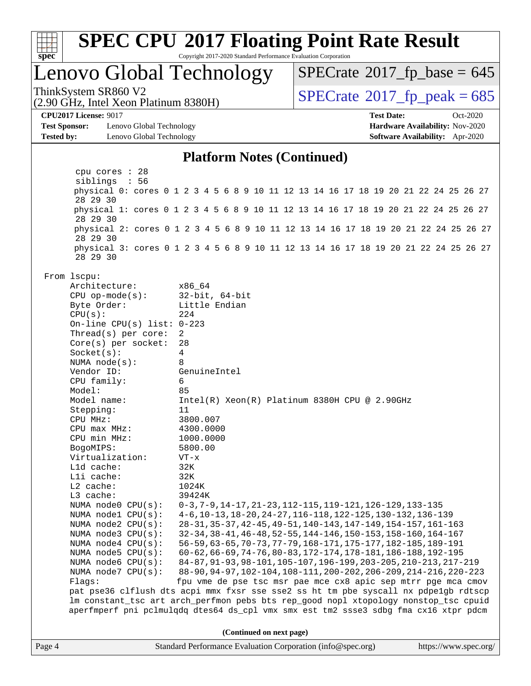

Copyright 2017-2020 Standard Performance Evaluation Corporation

## Lenovo Global Technology

ThinkSystem SR860 V2<br>(2.90 GHz, Intel Xeon Platinum 8380H)  $SPECrate@2017_fp\_peak = 685$  $SPECrate@2017_fp\_peak = 685$  $SPECTate$ <sup>®</sup>[2017\\_fp\\_base =](http://www.spec.org/auto/cpu2017/Docs/result-fields.html#SPECrate2017fpbase) 645

(2.90 GHz, Intel Xeon Platinum 8380H)

**[Test Sponsor:](http://www.spec.org/auto/cpu2017/Docs/result-fields.html#TestSponsor)** Lenovo Global Technology **[Hardware Availability:](http://www.spec.org/auto/cpu2017/Docs/result-fields.html#HardwareAvailability)** Nov-2020 **[Tested by:](http://www.spec.org/auto/cpu2017/Docs/result-fields.html#Testedby)** Lenovo Global Technology **[Software Availability:](http://www.spec.org/auto/cpu2017/Docs/result-fields.html#SoftwareAvailability)** Apr-2020

**[CPU2017 License:](http://www.spec.org/auto/cpu2017/Docs/result-fields.html#CPU2017License)** 9017 **[Test Date:](http://www.spec.org/auto/cpu2017/Docs/result-fields.html#TestDate)** Oct-2020

#### **[Platform Notes \(Continued\)](http://www.spec.org/auto/cpu2017/Docs/result-fields.html#PlatformNotes)**

 cpu cores : 28 siblings : 56 physical 0: cores 0 1 2 3 4 5 6 8 9 10 11 12 13 14 16 17 18 19 20 21 22 24 25 26 27 28 29 30 physical 1: cores 0 1 2 3 4 5 6 8 9 10 11 12 13 14 16 17 18 19 20 21 22 24 25 26 27 28 29 30 physical 2: cores 0 1 2 3 4 5 6 8 9 10 11 12 13 14 16 17 18 19 20 21 22 24 25 26 27 28 29 30 physical 3: cores 0 1 2 3 4 5 6 8 9 10 11 12 13 14 16 17 18 19 20 21 22 24 25 26 27 28 29 30 From lscpu: Architecture: x86\_64 CPU op-mode(s): 32-bit, 64-bit Byte Order: Little Endian  $CPU(s):$  224 On-line CPU(s) list: 0-223 Thread(s) per core: 2 Core(s) per socket: 28 Socket(s): 4 NUMA node(s): 8 Vendor ID: GenuineIntel CPU family: 6 Model: 85 Model name: Intel(R) Xeon(R) Platinum 8380H CPU @ 2.90GHz Stepping: 11 CPU MHz: 3800.007 CPU max MHz: 4300.0000 CPU min MHz: 1000.0000 BogoMIPS: 5800.00 Virtualization: VT-x L1d cache: 32K L1i cache: 32K L2 cache: 1024K L3 cache: 39424K NUMA node0 CPU(s): 0-3,7-9,14-17,21-23,112-115,119-121,126-129,133-135 NUMA node1 CPU(s): 4-6,10-13,18-20,24-27,116-118,122-125,130-132,136-139 NUMA node2 CPU(s): 28-31,35-37,42-45,49-51,140-143,147-149,154-157,161-163 NUMA node3 CPU(s): 32-34,38-41,46-48,52-55,144-146,150-153,158-160,164-167 NUMA node4 CPU(s): 56-59,63-65,70-73,77-79,168-171,175-177,182-185,189-191 NUMA node5 CPU(s): 60-62,66-69,74-76,80-83,172-174,178-181,186-188,192-195 NUMA node6 CPU(s): 84-87,91-93,98-101,105-107,196-199,203-205,210-213,217-219 NUMA node7 CPU(s): 88-90,94-97,102-104,108-111,200-202,206-209,214-216,220-223 Flags: fpu vme de pse tsc msr pae mce cx8 apic sep mtrr pge mca cmov pat pse36 clflush dts acpi mmx fxsr sse sse2 ss ht tm pbe syscall nx pdpe1gb rdtscp lm constant\_tsc art arch\_perfmon pebs bts rep\_good nopl xtopology nonstop\_tsc cpuid aperfmperf pni pclmulqdq dtes64 ds\_cpl vmx smx est tm2 ssse3 sdbg fma cx16 xtpr pdcm **(Continued on next page)**

Page 4 Standard Performance Evaluation Corporation [\(info@spec.org\)](mailto:info@spec.org) <https://www.spec.org/>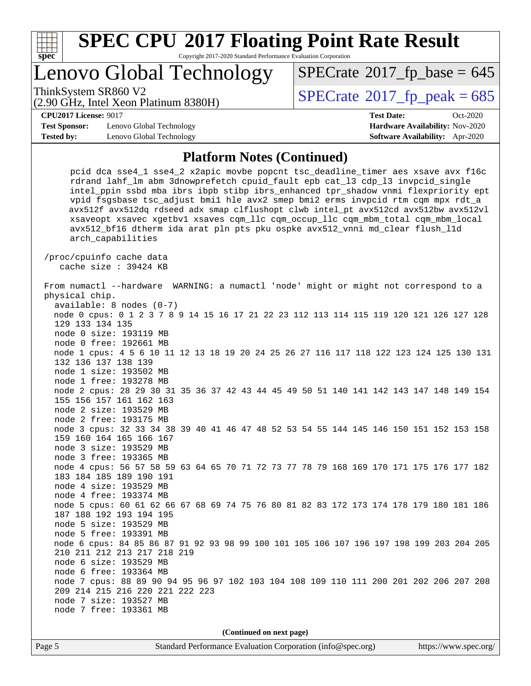

Copyright 2017-2020 Standard Performance Evaluation Corporation

## Lenovo Global Technology

ThinkSystem SR860 V2<br>(2.90 GHz, Intel Xeon Platinum 8380H)  $SPECrate@2017_fp\_peak = 685$  $SPECrate@2017_fp\_peak = 685$ 

 $SPECTate$ <sup>®</sup>[2017\\_fp\\_base =](http://www.spec.org/auto/cpu2017/Docs/result-fields.html#SPECrate2017fpbase) 645

(2.90 GHz, Intel Xeon Platinum 8380H)

**[CPU2017 License:](http://www.spec.org/auto/cpu2017/Docs/result-fields.html#CPU2017License)** 9017 **[Test Date:](http://www.spec.org/auto/cpu2017/Docs/result-fields.html#TestDate)** Oct-2020

**[Test Sponsor:](http://www.spec.org/auto/cpu2017/Docs/result-fields.html#TestSponsor)** Lenovo Global Technology **[Hardware Availability:](http://www.spec.org/auto/cpu2017/Docs/result-fields.html#HardwareAvailability)** Nov-2020 **[Tested by:](http://www.spec.org/auto/cpu2017/Docs/result-fields.html#Testedby)** Lenovo Global Technology **[Software Availability:](http://www.spec.org/auto/cpu2017/Docs/result-fields.html#SoftwareAvailability)** Apr-2020

#### **[Platform Notes \(Continued\)](http://www.spec.org/auto/cpu2017/Docs/result-fields.html#PlatformNotes)**

 pcid dca sse4\_1 sse4\_2 x2apic movbe popcnt tsc\_deadline\_timer aes xsave avx f16c rdrand lahf\_lm abm 3dnowprefetch cpuid\_fault epb cat\_l3 cdp\_l3 invpcid\_single intel\_ppin ssbd mba ibrs ibpb stibp ibrs\_enhanced tpr\_shadow vnmi flexpriority ept vpid fsgsbase tsc\_adjust bmi1 hle avx2 smep bmi2 erms invpcid rtm cqm mpx rdt\_a avx512f avx512dq rdseed adx smap clflushopt clwb intel\_pt avx512cd avx512bw avx512vl xsaveopt xsavec xgetbv1 xsaves cqm\_llc cqm\_occup\_llc cqm\_mbm\_total cqm\_mbm\_local avx512\_bf16 dtherm ida arat pln pts pku ospke avx512\_vnni md\_clear flush\_l1d arch\_capabilities

 /proc/cpuinfo cache data cache size : 39424 KB

 From numactl --hardware WARNING: a numactl 'node' might or might not correspond to a physical chip. available: 8 nodes (0-7) node 0 cpus: 0 1 2 3 7 8 9 14 15 16 17 21 22 23 112 113 114 115 119 120 121 126 127 128 129 133 134 135 node 0 size: 193119 MB node 0 free: 192661 MB node 1 cpus: 4 5 6 10 11 12 13 18 19 20 24 25 26 27 116 117 118 122 123 124 125 130 131 132 136 137 138 139 node 1 size: 193502 MB node 1 free: 193278 MB node 2 cpus: 28 29 30 31 35 36 37 42 43 44 45 49 50 51 140 141 142 143 147 148 149 154 155 156 157 161 162 163 node 2 size: 193529 MB node 2 free: 193175 MB node 3 cpus: 32 33 34 38 39 40 41 46 47 48 52 53 54 55 144 145 146 150 151 152 153 158 159 160 164 165 166 167 node 3 size: 193529 MB node 3 free: 193365 MB node 4 cpus: 56 57 58 59 63 64 65 70 71 72 73 77 78 79 168 169 170 171 175 176 177 182 183 184 185 189 190 191 node 4 size: 193529 MB node 4 free: 193374 MB node 5 cpus: 60 61 62 66 67 68 69 74 75 76 80 81 82 83 172 173 174 178 179 180 181 186 187 188 192 193 194 195 node 5 size: 193529 MB node 5 free: 193391 MB node 6 cpus: 84 85 86 87 91 92 93 98 99 100 101 105 106 107 196 197 198 199 203 204 205 210 211 212 213 217 218 219 node 6 size: 193529 MB node 6 free: 193364 MB node 7 cpus: 88 89 90 94 95 96 97 102 103 104 108 109 110 111 200 201 202 206 207 208 209 214 215 216 220 221 222 223 node 7 size: 193527 MB node 7 free: 193361 MB

**(Continued on next page)**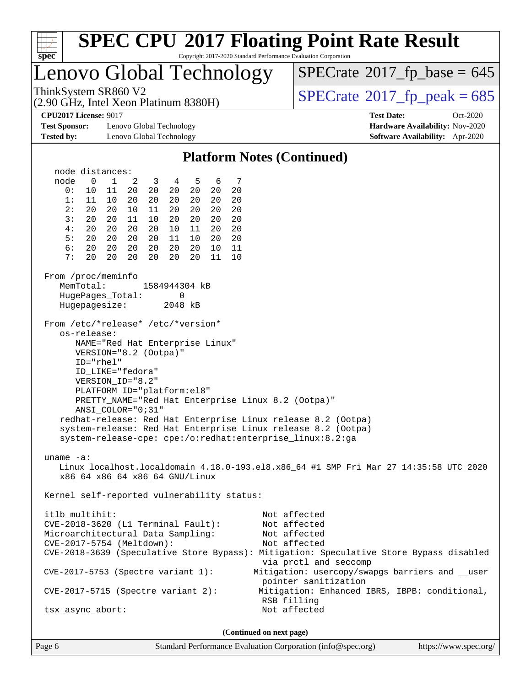

Page 6 Standard Performance Evaluation Corporation [\(info@spec.org\)](mailto:info@spec.org) <https://www.spec.org/>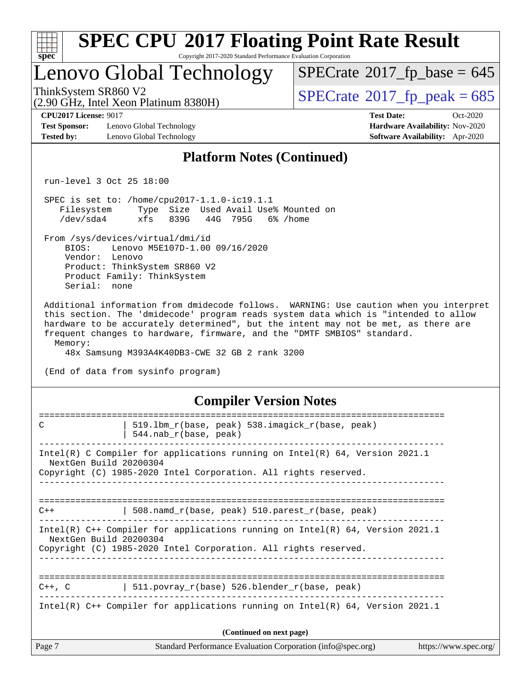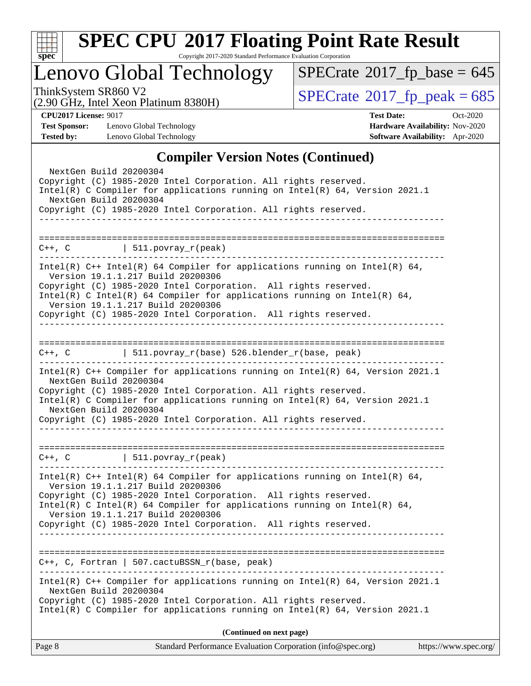

Copyright 2017-2020 Standard Performance Evaluation Corporation

## Lenovo Global Technology

ThinkSystem SR860 V2<br>(2.90 GHz, Intel Xeon Platinum 8380H)  $\qquad$  [SPECrate](http://www.spec.org/auto/cpu2017/Docs/result-fields.html#SPECrate2017fppeak)®[2017\\_fp\\_peak = 6](http://www.spec.org/auto/cpu2017/Docs/result-fields.html#SPECrate2017fppeak)85  $SPECrate$ <sup>®</sup>[2017\\_fp\\_base =](http://www.spec.org/auto/cpu2017/Docs/result-fields.html#SPECrate2017fpbase) 645

(2.90 GHz, Intel Xeon Platinum 8380H)

**[CPU2017 License:](http://www.spec.org/auto/cpu2017/Docs/result-fields.html#CPU2017License)** 9017 **[Test Date:](http://www.spec.org/auto/cpu2017/Docs/result-fields.html#TestDate)** Oct-2020

**[Test Sponsor:](http://www.spec.org/auto/cpu2017/Docs/result-fields.html#TestSponsor)** Lenovo Global Technology **[Hardware Availability:](http://www.spec.org/auto/cpu2017/Docs/result-fields.html#HardwareAvailability)** Nov-2020 **[Tested by:](http://www.spec.org/auto/cpu2017/Docs/result-fields.html#Testedby)** Lenovo Global Technology **[Software Availability:](http://www.spec.org/auto/cpu2017/Docs/result-fields.html#SoftwareAvailability)** Apr-2020

#### **[Compiler Version Notes \(Continued\)](http://www.spec.org/auto/cpu2017/Docs/result-fields.html#CompilerVersionNotes)**

| Standard Performance Evaluation Corporation (info@spec.org)<br>Page 8                                                                                                                                                                                                                                                                                                    | https://www.spec.org/ |
|--------------------------------------------------------------------------------------------------------------------------------------------------------------------------------------------------------------------------------------------------------------------------------------------------------------------------------------------------------------------------|-----------------------|
| (Continued on next page)                                                                                                                                                                                                                                                                                                                                                 |                       |
| Intel(R) C++ Compiler for applications running on Intel(R) $64$ , Version 2021.1<br>NextGen Build 20200304<br>Copyright (C) 1985-2020 Intel Corporation. All rights reserved.<br>Intel(R) C Compiler for applications running on $Intel(R) 64$ , Version 2021.1                                                                                                          |                       |
| C++, C, Fortran   507.cactuBSSN_r(base, peak)                                                                                                                                                                                                                                                                                                                            |                       |
| Intel(R) C Intel(R) 64 Compiler for applications running on Intel(R) 64,<br>Version 19.1.1.217 Build 20200306<br>Copyright (C) 1985-2020 Intel Corporation. All rights reserved.                                                                                                                                                                                         |                       |
| Intel(R) $C++$ Intel(R) 64 Compiler for applications running on Intel(R) 64,<br>Version 19.1.1.217 Build 20200306<br>Copyright (C) 1985-2020 Intel Corporation. All rights reserved.                                                                                                                                                                                     |                       |
| $C++$ , C $\qquad \qquad$ 511.povray_r(peak)                                                                                                                                                                                                                                                                                                                             |                       |
| Intel(R) $C++$ Compiler for applications running on Intel(R) 64, Version 2021.1<br>NextGen Build 20200304<br>Copyright (C) 1985-2020 Intel Corporation. All rights reserved.<br>Intel(R) C Compiler for applications running on $Intel(R)$ 64, Version 2021.1<br>NextGen Build 20200304<br>Copyright (C) 1985-2020 Intel Corporation. All rights reserved.               |                       |
| C++, C $  511.povray_r(base) 526.blender_r(base, peak)$                                                                                                                                                                                                                                                                                                                  |                       |
| Intel(R) $C++$ Intel(R) 64 Compiler for applications running on Intel(R) 64,<br>Version 19.1.1.217 Build 20200306<br>Copyright (C) 1985-2020 Intel Corporation. All rights reserved.<br>Intel(R) C Intel(R) 64 Compiler for applications running on Intel(R) 64,<br>Version 19.1.1.217 Build 20200306<br>Copyright (C) 1985-2020 Intel Corporation. All rights reserved. |                       |
| $C++$ , C $\qquad \qquad \vert$ 511.povray_r(peak)                                                                                                                                                                                                                                                                                                                       |                       |
| Copyright (C) 1985-2020 Intel Corporation. All rights reserved.                                                                                                                                                                                                                                                                                                          |                       |
| Copyright (C) 1985-2020 Intel Corporation. All rights reserved.<br>Intel(R) C Compiler for applications running on $Intel(R) 64$ , Version 2021.1<br>NextGen Build 20200304                                                                                                                                                                                              |                       |
| NextGen Build 20200304                                                                                                                                                                                                                                                                                                                                                   |                       |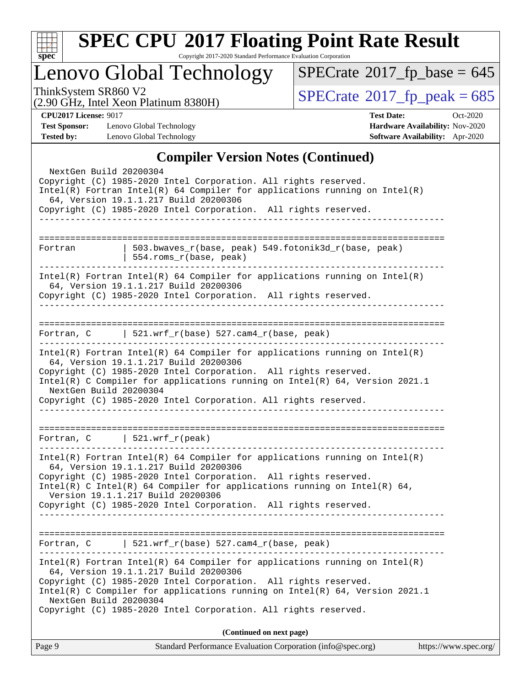

Copyright 2017-2020 Standard Performance Evaluation Corporation

## Lenovo Global Technology

ThinkSystem SR860 V2<br>  $(2.90 \text{ GHz})$  Intel Xeon Platinum 8380H) [SPECrate](http://www.spec.org/auto/cpu2017/Docs/result-fields.html#SPECrate2017fppeak)®[2017\\_fp\\_peak = 6](http://www.spec.org/auto/cpu2017/Docs/result-fields.html#SPECrate2017fppeak)85  $SPECrate$ <sup>®</sup>[2017\\_fp\\_base =](http://www.spec.org/auto/cpu2017/Docs/result-fields.html#SPECrate2017fpbase) 645

(2.90 GHz, Intel Xeon Platinum 8380H)

**[CPU2017 License:](http://www.spec.org/auto/cpu2017/Docs/result-fields.html#CPU2017License)** 9017 **[Test Date:](http://www.spec.org/auto/cpu2017/Docs/result-fields.html#TestDate)** Oct-2020 **[Test Sponsor:](http://www.spec.org/auto/cpu2017/Docs/result-fields.html#TestSponsor)** Lenovo Global Technology **[Hardware Availability:](http://www.spec.org/auto/cpu2017/Docs/result-fields.html#HardwareAvailability)** Nov-2020 **[Tested by:](http://www.spec.org/auto/cpu2017/Docs/result-fields.html#Testedby)** Lenovo Global Technology **[Software Availability:](http://www.spec.org/auto/cpu2017/Docs/result-fields.html#SoftwareAvailability)** Apr-2020

#### **[Compiler Version Notes \(Continued\)](http://www.spec.org/auto/cpu2017/Docs/result-fields.html#CompilerVersionNotes)**

|                        | $\mathbf{C}$ unpher version rotes ( $\mathbf{C}$ ununucu)                                                                                                                                |
|------------------------|------------------------------------------------------------------------------------------------------------------------------------------------------------------------------------------|
| NextGen Build 20200304 | Copyright (C) 1985-2020 Intel Corporation. All rights reserved.<br>$Intel(R)$ Fortran Intel(R) 64 Compiler for applications running on Intel(R)<br>64, Version 19.1.1.217 Build 20200306 |
|                        | Copyright (C) 1985-2020 Intel Corporation. All rights reserved.<br>__________________________________                                                                                    |
|                        |                                                                                                                                                                                          |
| Fortran                | 503.bwaves_r(base, peak) 549.fotonik3d_r(base, peak)<br>554.roms_r(base, peak)                                                                                                           |
|                        |                                                                                                                                                                                          |
|                        | $Intel(R)$ Fortran Intel(R) 64 Compiler for applications running on Intel(R)<br>64, Version 19.1.1.217 Build 20200306<br>Copyright (C) 1985-2020 Intel Corporation. All rights reserved. |
|                        | __________________________________                                                                                                                                                       |
|                        |                                                                                                                                                                                          |
| ______________________ | Fortran, C $\vert$ 521.wrf_r(base) 527.cam4_r(base, peak)                                                                                                                                |
|                        | $Intel(R)$ Fortran Intel(R) 64 Compiler for applications running on Intel(R)<br>64, Version 19.1.1.217 Build 20200306                                                                    |
|                        | Copyright (C) 1985-2020 Intel Corporation. All rights reserved.                                                                                                                          |
| NextGen Build 20200304 | Intel(R) C Compiler for applications running on Intel(R) $64$ , Version 2021.1                                                                                                           |
|                        | Copyright (C) 1985-2020 Intel Corporation. All rights reserved.                                                                                                                          |
|                        |                                                                                                                                                                                          |
|                        |                                                                                                                                                                                          |
|                        | Fortran, $C$   521.wrf_r(peak)                                                                                                                                                           |
|                        | $Intel(R)$ Fortran Intel(R) 64 Compiler for applications running on Intel(R)<br>64, Version 19.1.1.217 Build 20200306                                                                    |
|                        | Copyright (C) 1985-2020 Intel Corporation. All rights reserved.<br>Intel(R) C Intel(R) 64 Compiler for applications running on Intel(R) 64,                                              |
|                        | Version 19.1.1.217 Build 20200306                                                                                                                                                        |
|                        | Copyright (C) 1985-2020 Intel Corporation. All rights reserved.<br>______________________                                                                                                |
|                        |                                                                                                                                                                                          |
| Fortran, C             | $\vert$ 521.wrf_r(base) 527.cam4_r(base, peak)                                                                                                                                           |
|                        | $Intel(R)$ Fortran Intel(R) 64 Compiler for applications running on Intel(R)<br>64, Version 19.1.1.217 Build 20200306                                                                    |
|                        | Copyright (C) 1985-2020 Intel Corporation. All rights reserved.<br>Intel(R) C Compiler for applications running on Intel(R) 64, Version 2021.1                                           |
| NextGen Build 20200304 | Copyright (C) 1985-2020 Intel Corporation. All rights reserved.                                                                                                                          |
|                        | (Continued on next page)                                                                                                                                                                 |
| Page 9                 | https://www.spec.org/<br>Standard Performance Evaluation Corporation (info@spec.org)                                                                                                     |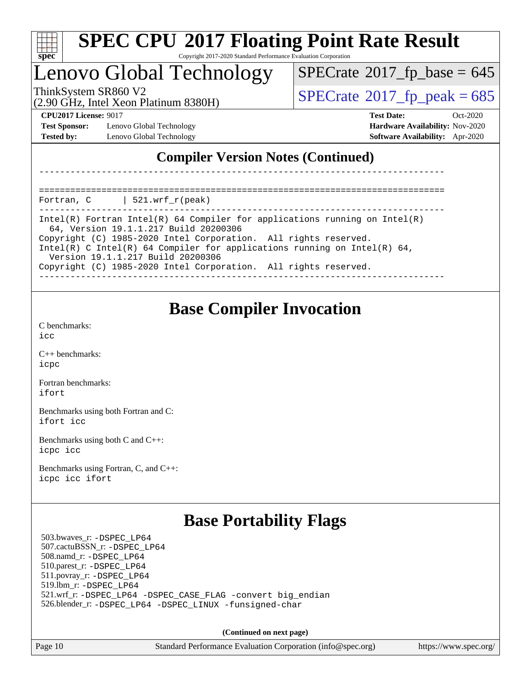

## Lenovo Global Technology

(2.90 GHz, Intel Xeon Platinum 8380H)

ThinkSystem SR860 V2<br>(2.90 GHz, Intel Xeon Platinum 8380H)  $SPECrate@2017_fp\_peak = 685$  $SPECrate@2017_fp\_peak = 685$ 

 $SPECTate$ <sup>®</sup>[2017\\_fp\\_base =](http://www.spec.org/auto/cpu2017/Docs/result-fields.html#SPECrate2017fpbase) 645

**[Test Sponsor:](http://www.spec.org/auto/cpu2017/Docs/result-fields.html#TestSponsor)** Lenovo Global Technology **[Hardware Availability:](http://www.spec.org/auto/cpu2017/Docs/result-fields.html#HardwareAvailability)** Nov-2020 **[Tested by:](http://www.spec.org/auto/cpu2017/Docs/result-fields.html#Testedby)** Lenovo Global Technology **[Software Availability:](http://www.spec.org/auto/cpu2017/Docs/result-fields.html#SoftwareAvailability)** Apr-2020

**[CPU2017 License:](http://www.spec.org/auto/cpu2017/Docs/result-fields.html#CPU2017License)** 9017 **[Test Date:](http://www.spec.org/auto/cpu2017/Docs/result-fields.html#TestDate)** Oct-2020

### **[Compiler Version Notes \(Continued\)](http://www.spec.org/auto/cpu2017/Docs/result-fields.html#CompilerVersionNotes)**

============================================================================== Fortran,  $C = \vert 521.$ wrf r(peak)

| Intel(R) Fortran Intel(R) 64 Compiler for applications running on Intel(R)<br>64, Version 19.1.1.217 Build 20200306 |
|---------------------------------------------------------------------------------------------------------------------|
| Copyright (C) 1985-2020 Intel Corporation. All rights reserved.                                                     |
| Intel(R) C Intel(R) 64 Compiler for applications running on Intel(R) 64,<br>Version 19.1.1.217 Build 20200306       |
| Copyright (C) 1985-2020 Intel Corporation. All rights reserved.                                                     |
|                                                                                                                     |

------------------------------------------------------------------------------

### **[Base Compiler Invocation](http://www.spec.org/auto/cpu2017/Docs/result-fields.html#BaseCompilerInvocation)**

[C benchmarks](http://www.spec.org/auto/cpu2017/Docs/result-fields.html#Cbenchmarks): [icc](http://www.spec.org/cpu2017/results/res2020q4/cpu2017-20201026-24278.flags.html#user_CCbase_intel_icc_66fc1ee009f7361af1fbd72ca7dcefbb700085f36577c54f309893dd4ec40d12360134090235512931783d35fd58c0460139e722d5067c5574d8eaf2b3e37e92)

[C++ benchmarks:](http://www.spec.org/auto/cpu2017/Docs/result-fields.html#CXXbenchmarks) [icpc](http://www.spec.org/cpu2017/results/res2020q4/cpu2017-20201026-24278.flags.html#user_CXXbase_intel_icpc_c510b6838c7f56d33e37e94d029a35b4a7bccf4766a728ee175e80a419847e808290a9b78be685c44ab727ea267ec2f070ec5dc83b407c0218cded6866a35d07)

[Fortran benchmarks](http://www.spec.org/auto/cpu2017/Docs/result-fields.html#Fortranbenchmarks): [ifort](http://www.spec.org/cpu2017/results/res2020q4/cpu2017-20201026-24278.flags.html#user_FCbase_intel_ifort_8111460550e3ca792625aed983ce982f94888b8b503583aa7ba2b8303487b4d8a21a13e7191a45c5fd58ff318f48f9492884d4413fa793fd88dd292cad7027ca)

[Benchmarks using both Fortran and C](http://www.spec.org/auto/cpu2017/Docs/result-fields.html#BenchmarksusingbothFortranandC): [ifort](http://www.spec.org/cpu2017/results/res2020q4/cpu2017-20201026-24278.flags.html#user_CC_FCbase_intel_ifort_8111460550e3ca792625aed983ce982f94888b8b503583aa7ba2b8303487b4d8a21a13e7191a45c5fd58ff318f48f9492884d4413fa793fd88dd292cad7027ca) [icc](http://www.spec.org/cpu2017/results/res2020q4/cpu2017-20201026-24278.flags.html#user_CC_FCbase_intel_icc_66fc1ee009f7361af1fbd72ca7dcefbb700085f36577c54f309893dd4ec40d12360134090235512931783d35fd58c0460139e722d5067c5574d8eaf2b3e37e92)

[Benchmarks using both C and C++](http://www.spec.org/auto/cpu2017/Docs/result-fields.html#BenchmarksusingbothCandCXX): [icpc](http://www.spec.org/cpu2017/results/res2020q4/cpu2017-20201026-24278.flags.html#user_CC_CXXbase_intel_icpc_c510b6838c7f56d33e37e94d029a35b4a7bccf4766a728ee175e80a419847e808290a9b78be685c44ab727ea267ec2f070ec5dc83b407c0218cded6866a35d07) [icc](http://www.spec.org/cpu2017/results/res2020q4/cpu2017-20201026-24278.flags.html#user_CC_CXXbase_intel_icc_66fc1ee009f7361af1fbd72ca7dcefbb700085f36577c54f309893dd4ec40d12360134090235512931783d35fd58c0460139e722d5067c5574d8eaf2b3e37e92)

[Benchmarks using Fortran, C, and C++:](http://www.spec.org/auto/cpu2017/Docs/result-fields.html#BenchmarksusingFortranCandCXX) [icpc](http://www.spec.org/cpu2017/results/res2020q4/cpu2017-20201026-24278.flags.html#user_CC_CXX_FCbase_intel_icpc_c510b6838c7f56d33e37e94d029a35b4a7bccf4766a728ee175e80a419847e808290a9b78be685c44ab727ea267ec2f070ec5dc83b407c0218cded6866a35d07) [icc](http://www.spec.org/cpu2017/results/res2020q4/cpu2017-20201026-24278.flags.html#user_CC_CXX_FCbase_intel_icc_66fc1ee009f7361af1fbd72ca7dcefbb700085f36577c54f309893dd4ec40d12360134090235512931783d35fd58c0460139e722d5067c5574d8eaf2b3e37e92) [ifort](http://www.spec.org/cpu2017/results/res2020q4/cpu2017-20201026-24278.flags.html#user_CC_CXX_FCbase_intel_ifort_8111460550e3ca792625aed983ce982f94888b8b503583aa7ba2b8303487b4d8a21a13e7191a45c5fd58ff318f48f9492884d4413fa793fd88dd292cad7027ca)

### **[Base Portability Flags](http://www.spec.org/auto/cpu2017/Docs/result-fields.html#BasePortabilityFlags)**

 503.bwaves\_r: [-DSPEC\\_LP64](http://www.spec.org/cpu2017/results/res2020q4/cpu2017-20201026-24278.flags.html#suite_basePORTABILITY503_bwaves_r_DSPEC_LP64) 507.cactuBSSN\_r: [-DSPEC\\_LP64](http://www.spec.org/cpu2017/results/res2020q4/cpu2017-20201026-24278.flags.html#suite_basePORTABILITY507_cactuBSSN_r_DSPEC_LP64) 508.namd\_r: [-DSPEC\\_LP64](http://www.spec.org/cpu2017/results/res2020q4/cpu2017-20201026-24278.flags.html#suite_basePORTABILITY508_namd_r_DSPEC_LP64) 510.parest\_r: [-DSPEC\\_LP64](http://www.spec.org/cpu2017/results/res2020q4/cpu2017-20201026-24278.flags.html#suite_basePORTABILITY510_parest_r_DSPEC_LP64) 511.povray\_r: [-DSPEC\\_LP64](http://www.spec.org/cpu2017/results/res2020q4/cpu2017-20201026-24278.flags.html#suite_basePORTABILITY511_povray_r_DSPEC_LP64) 519.lbm\_r: [-DSPEC\\_LP64](http://www.spec.org/cpu2017/results/res2020q4/cpu2017-20201026-24278.flags.html#suite_basePORTABILITY519_lbm_r_DSPEC_LP64) 521.wrf\_r: [-DSPEC\\_LP64](http://www.spec.org/cpu2017/results/res2020q4/cpu2017-20201026-24278.flags.html#suite_basePORTABILITY521_wrf_r_DSPEC_LP64) [-DSPEC\\_CASE\\_FLAG](http://www.spec.org/cpu2017/results/res2020q4/cpu2017-20201026-24278.flags.html#b521.wrf_r_baseCPORTABILITY_DSPEC_CASE_FLAG) [-convert big\\_endian](http://www.spec.org/cpu2017/results/res2020q4/cpu2017-20201026-24278.flags.html#user_baseFPORTABILITY521_wrf_r_convert_big_endian_c3194028bc08c63ac5d04de18c48ce6d347e4e562e8892b8bdbdc0214820426deb8554edfa529a3fb25a586e65a3d812c835984020483e7e73212c4d31a38223) 526.blender\_r: [-DSPEC\\_LP64](http://www.spec.org/cpu2017/results/res2020q4/cpu2017-20201026-24278.flags.html#suite_basePORTABILITY526_blender_r_DSPEC_LP64) [-DSPEC\\_LINUX](http://www.spec.org/cpu2017/results/res2020q4/cpu2017-20201026-24278.flags.html#b526.blender_r_baseCPORTABILITY_DSPEC_LINUX) [-funsigned-char](http://www.spec.org/cpu2017/results/res2020q4/cpu2017-20201026-24278.flags.html#user_baseCPORTABILITY526_blender_r_force_uchar_40c60f00ab013830e2dd6774aeded3ff59883ba5a1fc5fc14077f794d777847726e2a5858cbc7672e36e1b067e7e5c1d9a74f7176df07886a243d7cc18edfe67)

**(Continued on next page)**

Page 10 Standard Performance Evaluation Corporation [\(info@spec.org\)](mailto:info@spec.org) <https://www.spec.org/>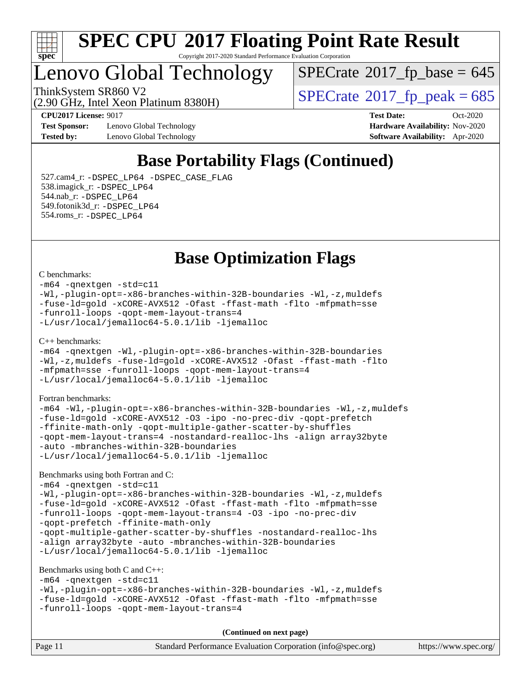

## Lenovo Global Technology

 $SPECTate$ <sup>®</sup>[2017\\_fp\\_base =](http://www.spec.org/auto/cpu2017/Docs/result-fields.html#SPECrate2017fpbase) 645

(2.90 GHz, Intel Xeon Platinum 8380H) ThinkSystem SR860 V2<br>(2.90 GHz, Intel Xeon Platinum 8380H)  $SPECrate@2017_fp\_peak = 685$  $SPECrate@2017_fp\_peak = 685$ 

**[Test Sponsor:](http://www.spec.org/auto/cpu2017/Docs/result-fields.html#TestSponsor)** Lenovo Global Technology **[Hardware Availability:](http://www.spec.org/auto/cpu2017/Docs/result-fields.html#HardwareAvailability)** Nov-2020 **[Tested by:](http://www.spec.org/auto/cpu2017/Docs/result-fields.html#Testedby)** Lenovo Global Technology **[Software Availability:](http://www.spec.org/auto/cpu2017/Docs/result-fields.html#SoftwareAvailability)** Apr-2020

**[CPU2017 License:](http://www.spec.org/auto/cpu2017/Docs/result-fields.html#CPU2017License)** 9017 **[Test Date:](http://www.spec.org/auto/cpu2017/Docs/result-fields.html#TestDate)** Oct-2020

## **[Base Portability Flags \(Continued\)](http://www.spec.org/auto/cpu2017/Docs/result-fields.html#BasePortabilityFlags)**

 527.cam4\_r: [-DSPEC\\_LP64](http://www.spec.org/cpu2017/results/res2020q4/cpu2017-20201026-24278.flags.html#suite_basePORTABILITY527_cam4_r_DSPEC_LP64) [-DSPEC\\_CASE\\_FLAG](http://www.spec.org/cpu2017/results/res2020q4/cpu2017-20201026-24278.flags.html#b527.cam4_r_baseCPORTABILITY_DSPEC_CASE_FLAG) 538.imagick\_r: [-DSPEC\\_LP64](http://www.spec.org/cpu2017/results/res2020q4/cpu2017-20201026-24278.flags.html#suite_basePORTABILITY538_imagick_r_DSPEC_LP64) 544.nab\_r: [-DSPEC\\_LP64](http://www.spec.org/cpu2017/results/res2020q4/cpu2017-20201026-24278.flags.html#suite_basePORTABILITY544_nab_r_DSPEC_LP64) 549.fotonik3d\_r: [-DSPEC\\_LP64](http://www.spec.org/cpu2017/results/res2020q4/cpu2017-20201026-24278.flags.html#suite_basePORTABILITY549_fotonik3d_r_DSPEC_LP64) 554.roms\_r: [-DSPEC\\_LP64](http://www.spec.org/cpu2017/results/res2020q4/cpu2017-20201026-24278.flags.html#suite_basePORTABILITY554_roms_r_DSPEC_LP64)

### **[Base Optimization Flags](http://www.spec.org/auto/cpu2017/Docs/result-fields.html#BaseOptimizationFlags)**

#### [C benchmarks](http://www.spec.org/auto/cpu2017/Docs/result-fields.html#Cbenchmarks):

```
-m64 -qnextgen -std=c11
-Wl,-plugin-opt=-x86-branches-within-32B-boundaries -Wl,-z,muldefs
-fuse-ld=gold -xCORE-AVX512 -Ofast -ffast-math -flto -mfpmath=sse
-funroll-loops -qopt-mem-layout-trans=4
-L/usr/local/jemalloc64-5.0.1/lib -ljemalloc
```
#### [C++ benchmarks:](http://www.spec.org/auto/cpu2017/Docs/result-fields.html#CXXbenchmarks)

```
-m64 -qnextgen -Wl,-plugin-opt=-x86-branches-within-32B-boundaries
-Wl,-z,muldefs -fuse-ld=gold -xCORE-AVX512 -Ofast -ffast-math -flto
-mfpmath=sse -funroll-loops -qopt-mem-layout-trans=4
-L/usr/local/jemalloc64-5.0.1/lib -ljemalloc
```
#### [Fortran benchmarks](http://www.spec.org/auto/cpu2017/Docs/result-fields.html#Fortranbenchmarks):

```
-m64 -Wl,-plugin-opt=-x86-branches-within-32B-boundaries -Wl,-z,muldefs
-fuse-ld=gold -xCORE-AVX512 -O3 -ipo -no-prec-div -qopt-prefetch
-ffinite-math-only -qopt-multiple-gather-scatter-by-shuffles
-qopt-mem-layout-trans=4 -nostandard-realloc-lhs -align array32byte
-auto -mbranches-within-32B-boundaries
-L/usr/local/jemalloc64-5.0.1/lib -ljemalloc
```
#### [Benchmarks using both Fortran and C](http://www.spec.org/auto/cpu2017/Docs/result-fields.html#BenchmarksusingbothFortranandC):

```
-m64 -qnextgen -std=c11
-Wl,-plugin-opt=-x86-branches-within-32B-boundaries -Wl,-z,muldefs
-fuse-ld=gold -xCORE-AVX512 -Ofast -ffast-math -flto -mfpmath=sse
-funroll-loops -qopt-mem-layout-trans=4 -O3 -ipo -no-prec-div
-qopt-prefetch -ffinite-math-only
-qopt-multiple-gather-scatter-by-shuffles -nostandard-realloc-lhs
-align array32byte -auto -mbranches-within-32B-boundaries
-L/usr/local/jemalloc64-5.0.1/lib -ljemalloc
```
#### [Benchmarks using both C and C++](http://www.spec.org/auto/cpu2017/Docs/result-fields.html#BenchmarksusingbothCandCXX):

```
-m64 -qnextgen -std=c11
-Wl,-plugin-opt=-x86-branches-within-32B-boundaries -Wl,-z,muldefs
-fuse-ld=gold -xCORE-AVX512 -Ofast -ffast-math -flto -mfpmath=sse
-funroll-loops -qopt-mem-layout-trans=4
```
**(Continued on next page)**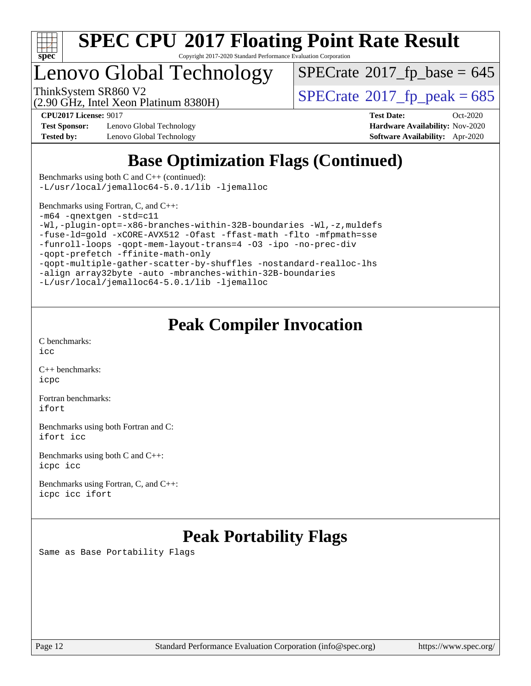

Copyright 2017-2020 Standard Performance Evaluation Corporation

## enovo Global Technology

 $SPECTate$ <sup>®</sup>[2017\\_fp\\_base =](http://www.spec.org/auto/cpu2017/Docs/result-fields.html#SPECrate2017fpbase) 645

(2.90 GHz, Intel Xeon Platinum 8380H)

ThinkSystem SR860 V2<br>(2.90 GHz, Intel Xeon Platinum 8380H)  $SPECrate@2017_fp\_peak = 685$  $SPECrate@2017_fp\_peak = 685$ 

**[Test Sponsor:](http://www.spec.org/auto/cpu2017/Docs/result-fields.html#TestSponsor)** Lenovo Global Technology **[Hardware Availability:](http://www.spec.org/auto/cpu2017/Docs/result-fields.html#HardwareAvailability)** Nov-2020 **[Tested by:](http://www.spec.org/auto/cpu2017/Docs/result-fields.html#Testedby)** Lenovo Global Technology **[Software Availability:](http://www.spec.org/auto/cpu2017/Docs/result-fields.html#SoftwareAvailability)** Apr-2020

**[CPU2017 License:](http://www.spec.org/auto/cpu2017/Docs/result-fields.html#CPU2017License)** 9017 **[Test Date:](http://www.spec.org/auto/cpu2017/Docs/result-fields.html#TestDate)** Oct-2020

## **[Base Optimization Flags \(Continued\)](http://www.spec.org/auto/cpu2017/Docs/result-fields.html#BaseOptimizationFlags)**

[Benchmarks using both C and C++](http://www.spec.org/auto/cpu2017/Docs/result-fields.html#BenchmarksusingbothCandCXX) (continued): [-L/usr/local/jemalloc64-5.0.1/lib](http://www.spec.org/cpu2017/results/res2020q4/cpu2017-20201026-24278.flags.html#user_CC_CXXbase_jemalloc_link_path64_1_cc289568b1a6c0fd3b62c91b824c27fcb5af5e8098e6ad028160d21144ef1b8aef3170d2acf0bee98a8da324cfe4f67d0a3d0c4cc4673d993d694dc2a0df248b) [-ljemalloc](http://www.spec.org/cpu2017/results/res2020q4/cpu2017-20201026-24278.flags.html#user_CC_CXXbase_jemalloc_link_lib_d1249b907c500fa1c0672f44f562e3d0f79738ae9e3c4a9c376d49f265a04b9c99b167ecedbf6711b3085be911c67ff61f150a17b3472be731631ba4d0471706)

[Benchmarks using Fortran, C, and C++:](http://www.spec.org/auto/cpu2017/Docs/result-fields.html#BenchmarksusingFortranCandCXX)

[-m64](http://www.spec.org/cpu2017/results/res2020q4/cpu2017-20201026-24278.flags.html#user_CC_CXX_FCbase_m64-icc) [-qnextgen](http://www.spec.org/cpu2017/results/res2020q4/cpu2017-20201026-24278.flags.html#user_CC_CXX_FCbase_f-qnextgen) [-std=c11](http://www.spec.org/cpu2017/results/res2020q4/cpu2017-20201026-24278.flags.html#user_CC_CXX_FCbase_std-icc-std_0e1c27790398a4642dfca32ffe6c27b5796f9c2d2676156f2e42c9c44eaad0c049b1cdb667a270c34d979996257aeb8fc440bfb01818dbc9357bd9d174cb8524)

[-Wl,-plugin-opt=-x86-branches-within-32B-boundaries](http://www.spec.org/cpu2017/results/res2020q4/cpu2017-20201026-24278.flags.html#user_CC_CXX_FCbase_f-x86-branches-within-32B-boundaries_0098b4e4317ae60947b7b728078a624952a08ac37a3c797dfb4ffeb399e0c61a9dd0f2f44ce917e9361fb9076ccb15e7824594512dd315205382d84209e912f3) [-Wl,-z,muldefs](http://www.spec.org/cpu2017/results/res2020q4/cpu2017-20201026-24278.flags.html#user_CC_CXX_FCbase_link_force_multiple1_b4cbdb97b34bdee9ceefcfe54f4c8ea74255f0b02a4b23e853cdb0e18eb4525ac79b5a88067c842dd0ee6996c24547a27a4b99331201badda8798ef8a743f577)

```
-fuse-ld=gold -xCORE-AVX512 -Ofast -ffast-math -flto -mfpmath=sse
```
[-funroll-loops](http://www.spec.org/cpu2017/results/res2020q4/cpu2017-20201026-24278.flags.html#user_CC_CXX_FCbase_f-funroll-loops) [-qopt-mem-layout-trans=4](http://www.spec.org/cpu2017/results/res2020q4/cpu2017-20201026-24278.flags.html#user_CC_CXX_FCbase_f-qopt-mem-layout-trans_fa39e755916c150a61361b7846f310bcdf6f04e385ef281cadf3647acec3f0ae266d1a1d22d972a7087a248fd4e6ca390a3634700869573d231a252c784941a8) [-O3](http://www.spec.org/cpu2017/results/res2020q4/cpu2017-20201026-24278.flags.html#user_CC_CXX_FCbase_f-O3) [-ipo](http://www.spec.org/cpu2017/results/res2020q4/cpu2017-20201026-24278.flags.html#user_CC_CXX_FCbase_f-ipo) [-no-prec-div](http://www.spec.org/cpu2017/results/res2020q4/cpu2017-20201026-24278.flags.html#user_CC_CXX_FCbase_f-no-prec-div)

[-qopt-prefetch](http://www.spec.org/cpu2017/results/res2020q4/cpu2017-20201026-24278.flags.html#user_CC_CXX_FCbase_f-qopt-prefetch) [-ffinite-math-only](http://www.spec.org/cpu2017/results/res2020q4/cpu2017-20201026-24278.flags.html#user_CC_CXX_FCbase_f_finite_math_only_cb91587bd2077682c4b38af759c288ed7c732db004271a9512da14a4f8007909a5f1427ecbf1a0fb78ff2a814402c6114ac565ca162485bbcae155b5e4258871)

[-qopt-multiple-gather-scatter-by-shuffles](http://www.spec.org/cpu2017/results/res2020q4/cpu2017-20201026-24278.flags.html#user_CC_CXX_FCbase_f-qopt-multiple-gather-scatter-by-shuffles) [-nostandard-realloc-lhs](http://www.spec.org/cpu2017/results/res2020q4/cpu2017-20201026-24278.flags.html#user_CC_CXX_FCbase_f_2003_std_realloc_82b4557e90729c0f113870c07e44d33d6f5a304b4f63d4c15d2d0f1fab99f5daaed73bdb9275d9ae411527f28b936061aa8b9c8f2d63842963b95c9dd6426b8a) [-align array32byte](http://www.spec.org/cpu2017/results/res2020q4/cpu2017-20201026-24278.flags.html#user_CC_CXX_FCbase_align_array32byte_b982fe038af199962ba9a80c053b8342c548c85b40b8e86eb3cc33dee0d7986a4af373ac2d51c3f7cf710a18d62fdce2948f201cd044323541f22fc0fffc51b6) [-auto](http://www.spec.org/cpu2017/results/res2020q4/cpu2017-20201026-24278.flags.html#user_CC_CXX_FCbase_f-auto) [-mbranches-within-32B-boundaries](http://www.spec.org/cpu2017/results/res2020q4/cpu2017-20201026-24278.flags.html#user_CC_CXX_FCbase_f-mbranches-within-32B-boundaries)

[-L/usr/local/jemalloc64-5.0.1/lib](http://www.spec.org/cpu2017/results/res2020q4/cpu2017-20201026-24278.flags.html#user_CC_CXX_FCbase_jemalloc_link_path64_1_cc289568b1a6c0fd3b62c91b824c27fcb5af5e8098e6ad028160d21144ef1b8aef3170d2acf0bee98a8da324cfe4f67d0a3d0c4cc4673d993d694dc2a0df248b) [-ljemalloc](http://www.spec.org/cpu2017/results/res2020q4/cpu2017-20201026-24278.flags.html#user_CC_CXX_FCbase_jemalloc_link_lib_d1249b907c500fa1c0672f44f562e3d0f79738ae9e3c4a9c376d49f265a04b9c99b167ecedbf6711b3085be911c67ff61f150a17b3472be731631ba4d0471706)

## **[Peak Compiler Invocation](http://www.spec.org/auto/cpu2017/Docs/result-fields.html#PeakCompilerInvocation)**

[C benchmarks](http://www.spec.org/auto/cpu2017/Docs/result-fields.html#Cbenchmarks): [icc](http://www.spec.org/cpu2017/results/res2020q4/cpu2017-20201026-24278.flags.html#user_CCpeak_intel_icc_66fc1ee009f7361af1fbd72ca7dcefbb700085f36577c54f309893dd4ec40d12360134090235512931783d35fd58c0460139e722d5067c5574d8eaf2b3e37e92)

[C++ benchmarks:](http://www.spec.org/auto/cpu2017/Docs/result-fields.html#CXXbenchmarks) [icpc](http://www.spec.org/cpu2017/results/res2020q4/cpu2017-20201026-24278.flags.html#user_CXXpeak_intel_icpc_c510b6838c7f56d33e37e94d029a35b4a7bccf4766a728ee175e80a419847e808290a9b78be685c44ab727ea267ec2f070ec5dc83b407c0218cded6866a35d07)

[Fortran benchmarks](http://www.spec.org/auto/cpu2017/Docs/result-fields.html#Fortranbenchmarks): [ifort](http://www.spec.org/cpu2017/results/res2020q4/cpu2017-20201026-24278.flags.html#user_FCpeak_intel_ifort_8111460550e3ca792625aed983ce982f94888b8b503583aa7ba2b8303487b4d8a21a13e7191a45c5fd58ff318f48f9492884d4413fa793fd88dd292cad7027ca)

[Benchmarks using both Fortran and C](http://www.spec.org/auto/cpu2017/Docs/result-fields.html#BenchmarksusingbothFortranandC): [ifort](http://www.spec.org/cpu2017/results/res2020q4/cpu2017-20201026-24278.flags.html#user_CC_FCpeak_intel_ifort_8111460550e3ca792625aed983ce982f94888b8b503583aa7ba2b8303487b4d8a21a13e7191a45c5fd58ff318f48f9492884d4413fa793fd88dd292cad7027ca) [icc](http://www.spec.org/cpu2017/results/res2020q4/cpu2017-20201026-24278.flags.html#user_CC_FCpeak_intel_icc_66fc1ee009f7361af1fbd72ca7dcefbb700085f36577c54f309893dd4ec40d12360134090235512931783d35fd58c0460139e722d5067c5574d8eaf2b3e37e92)

[Benchmarks using both C and C++](http://www.spec.org/auto/cpu2017/Docs/result-fields.html#BenchmarksusingbothCandCXX): [icpc](http://www.spec.org/cpu2017/results/res2020q4/cpu2017-20201026-24278.flags.html#user_CC_CXXpeak_intel_icpc_c510b6838c7f56d33e37e94d029a35b4a7bccf4766a728ee175e80a419847e808290a9b78be685c44ab727ea267ec2f070ec5dc83b407c0218cded6866a35d07) [icc](http://www.spec.org/cpu2017/results/res2020q4/cpu2017-20201026-24278.flags.html#user_CC_CXXpeak_intel_icc_66fc1ee009f7361af1fbd72ca7dcefbb700085f36577c54f309893dd4ec40d12360134090235512931783d35fd58c0460139e722d5067c5574d8eaf2b3e37e92)

[Benchmarks using Fortran, C, and C++:](http://www.spec.org/auto/cpu2017/Docs/result-fields.html#BenchmarksusingFortranCandCXX) [icpc](http://www.spec.org/cpu2017/results/res2020q4/cpu2017-20201026-24278.flags.html#user_CC_CXX_FCpeak_intel_icpc_c510b6838c7f56d33e37e94d029a35b4a7bccf4766a728ee175e80a419847e808290a9b78be685c44ab727ea267ec2f070ec5dc83b407c0218cded6866a35d07) [icc](http://www.spec.org/cpu2017/results/res2020q4/cpu2017-20201026-24278.flags.html#user_CC_CXX_FCpeak_intel_icc_66fc1ee009f7361af1fbd72ca7dcefbb700085f36577c54f309893dd4ec40d12360134090235512931783d35fd58c0460139e722d5067c5574d8eaf2b3e37e92) [ifort](http://www.spec.org/cpu2017/results/res2020q4/cpu2017-20201026-24278.flags.html#user_CC_CXX_FCpeak_intel_ifort_8111460550e3ca792625aed983ce982f94888b8b503583aa7ba2b8303487b4d8a21a13e7191a45c5fd58ff318f48f9492884d4413fa793fd88dd292cad7027ca)

## **[Peak Portability Flags](http://www.spec.org/auto/cpu2017/Docs/result-fields.html#PeakPortabilityFlags)**

Same as Base Portability Flags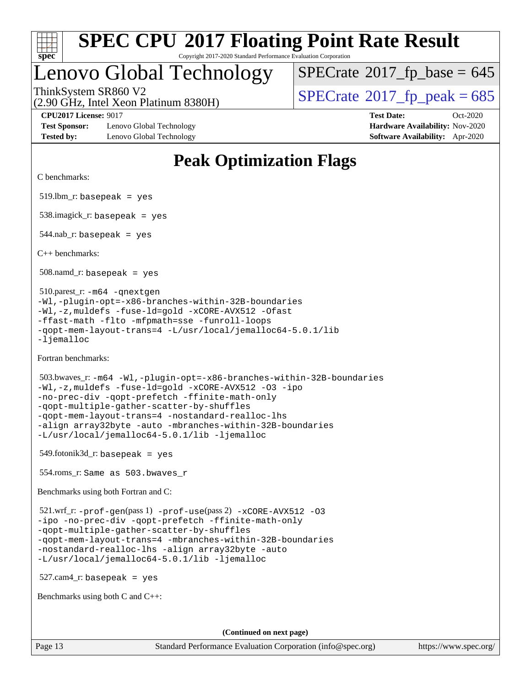

## Lenovo Global Technology

ThinkSystem SR860 V2<br>(2.90 GHz, Intel Xeon Platinum 8380H)  $SPECrate@2017_fp\_peak = 685$  $SPECrate@2017_fp\_peak = 685$  $SPECTate$ <sup>®</sup>[2017\\_fp\\_base =](http://www.spec.org/auto/cpu2017/Docs/result-fields.html#SPECrate2017fpbase) 645

(2.90 GHz, Intel Xeon Platinum 8380H)

**[Test Sponsor:](http://www.spec.org/auto/cpu2017/Docs/result-fields.html#TestSponsor)** Lenovo Global Technology **[Hardware Availability:](http://www.spec.org/auto/cpu2017/Docs/result-fields.html#HardwareAvailability)** Nov-2020 **[Tested by:](http://www.spec.org/auto/cpu2017/Docs/result-fields.html#Testedby)** Lenovo Global Technology **[Software Availability:](http://www.spec.org/auto/cpu2017/Docs/result-fields.html#SoftwareAvailability)** Apr-2020

**[CPU2017 License:](http://www.spec.org/auto/cpu2017/Docs/result-fields.html#CPU2017License)** 9017 **[Test Date:](http://www.spec.org/auto/cpu2017/Docs/result-fields.html#TestDate)** Oct-2020

## **[Peak Optimization Flags](http://www.spec.org/auto/cpu2017/Docs/result-fields.html#PeakOptimizationFlags)**

[C benchmarks:](http://www.spec.org/auto/cpu2017/Docs/result-fields.html#Cbenchmarks)

 $519.$ lbm\_r: basepeak = yes

538.imagick\_r: basepeak = yes

 $544$ .nab\_r: basepeak = yes

[C++ benchmarks:](http://www.spec.org/auto/cpu2017/Docs/result-fields.html#CXXbenchmarks)

508.namd\_r: basepeak = yes

 510.parest\_r: [-m64](http://www.spec.org/cpu2017/results/res2020q4/cpu2017-20201026-24278.flags.html#user_peakCXXLD510_parest_r_m64-icc) [-qnextgen](http://www.spec.org/cpu2017/results/res2020q4/cpu2017-20201026-24278.flags.html#user_peakCXXLD510_parest_r_f-qnextgen) [-Wl,-plugin-opt=-x86-branches-within-32B-boundaries](http://www.spec.org/cpu2017/results/res2020q4/cpu2017-20201026-24278.flags.html#user_peakLDFLAGS510_parest_r_f-x86-branches-within-32B-boundaries_0098b4e4317ae60947b7b728078a624952a08ac37a3c797dfb4ffeb399e0c61a9dd0f2f44ce917e9361fb9076ccb15e7824594512dd315205382d84209e912f3) [-Wl,-z,muldefs](http://www.spec.org/cpu2017/results/res2020q4/cpu2017-20201026-24278.flags.html#user_peakEXTRA_LDFLAGS510_parest_r_link_force_multiple1_b4cbdb97b34bdee9ceefcfe54f4c8ea74255f0b02a4b23e853cdb0e18eb4525ac79b5a88067c842dd0ee6996c24547a27a4b99331201badda8798ef8a743f577) [-fuse-ld=gold](http://www.spec.org/cpu2017/results/res2020q4/cpu2017-20201026-24278.flags.html#user_peakEXTRA_LDFLAGS510_parest_r_f-fuse-ld_920b3586e2b8c6e0748b9c84fa9b744736ba725a32cab14ad8f3d4ad28eecb2f59d1144823d2e17006539a88734fe1fc08fc3035f7676166309105a78aaabc32) [-xCORE-AVX512](http://www.spec.org/cpu2017/results/res2020q4/cpu2017-20201026-24278.flags.html#user_peakCXXOPTIMIZE510_parest_r_f-xCORE-AVX512) [-Ofast](http://www.spec.org/cpu2017/results/res2020q4/cpu2017-20201026-24278.flags.html#user_peakCXXOPTIMIZE510_parest_r_f-Ofast) [-ffast-math](http://www.spec.org/cpu2017/results/res2020q4/cpu2017-20201026-24278.flags.html#user_peakCXXOPTIMIZE510_parest_r_f-ffast-math) [-flto](http://www.spec.org/cpu2017/results/res2020q4/cpu2017-20201026-24278.flags.html#user_peakCXXOPTIMIZE510_parest_r_f-flto) [-mfpmath=sse](http://www.spec.org/cpu2017/results/res2020q4/cpu2017-20201026-24278.flags.html#user_peakCXXOPTIMIZE510_parest_r_f-mfpmath_70eb8fac26bde974f8ab713bc9086c5621c0b8d2f6c86f38af0bd7062540daf19db5f3a066d8c6684be05d84c9b6322eb3b5be6619d967835195b93d6c02afa1) [-funroll-loops](http://www.spec.org/cpu2017/results/res2020q4/cpu2017-20201026-24278.flags.html#user_peakCXXOPTIMIZE510_parest_r_f-funroll-loops) [-qopt-mem-layout-trans=4](http://www.spec.org/cpu2017/results/res2020q4/cpu2017-20201026-24278.flags.html#user_peakCXXOPTIMIZE510_parest_r_f-qopt-mem-layout-trans_fa39e755916c150a61361b7846f310bcdf6f04e385ef281cadf3647acec3f0ae266d1a1d22d972a7087a248fd4e6ca390a3634700869573d231a252c784941a8) [-L/usr/local/jemalloc64-5.0.1/lib](http://www.spec.org/cpu2017/results/res2020q4/cpu2017-20201026-24278.flags.html#user_peakEXTRA_LIBS510_parest_r_jemalloc_link_path64_1_cc289568b1a6c0fd3b62c91b824c27fcb5af5e8098e6ad028160d21144ef1b8aef3170d2acf0bee98a8da324cfe4f67d0a3d0c4cc4673d993d694dc2a0df248b) -liemalloc

[Fortran benchmarks](http://www.spec.org/auto/cpu2017/Docs/result-fields.html#Fortranbenchmarks):

```
 503.bwaves_r: -m64 -Wl,-plugin-opt=-x86-branches-within-32B-boundaries
-Wl,-z,muldefs -fuse-ld=gold -xCORE-AVX512 -O3 -ipo
-no-prec-div -qopt-prefetch -ffinite-math-only
-qopt-multiple-gather-scatter-by-shuffles
-qopt-mem-layout-trans=4 -nostandard-realloc-lhs
-align array32byte -auto -mbranches-within-32B-boundaries
-L/usr/local/jemalloc64-5.0.1/lib -ljemalloc
```
549.fotonik3d\_r: basepeak = yes

554.roms\_r: Same as 503.bwaves\_r

[Benchmarks using both Fortran and C:](http://www.spec.org/auto/cpu2017/Docs/result-fields.html#BenchmarksusingbothFortranandC)

```
 521.wrf_r: -prof-gen(pass 1) -prof-use(pass 2) -xCORE-AVX512 -O3
-ipo -no-prec-div -qopt-prefetch -ffinite-math-only
-qopt-multiple-gather-scatter-by-shuffles
-qopt-mem-layout-trans=4 -mbranches-within-32B-boundaries
-nostandard-realloc-lhs -align array32byte -auto
-L/usr/local/jemalloc64-5.0.1/lib -ljemalloc
```
 $527.cam4$ -r: basepeak = yes

[Benchmarks using both C and C++](http://www.spec.org/auto/cpu2017/Docs/result-fields.html#BenchmarksusingbothCandCXX):

**(Continued on next page)**